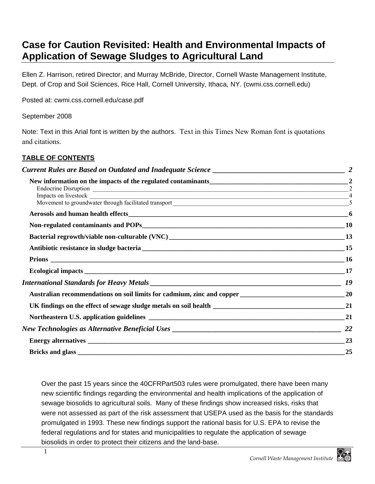# **Case for Caution Revisited: Health and Environmental Impacts of Application of Sewage Sludges to Agricultural Land**

Ellen Z. Harrison, retired Director, and Murray McBride, Director, Cornell Waste Management Institute, Dept. of Crop and Soil Sciences, Rice Hall, Cornell University, Ithaca, NY. (cwmi.css.cornell.edu)

Posted at: cwmi.css.cornell.edu/case.pdf

September 2008

Note: Text in this Arial font is written by the authors. Text in this Times New Roman font is quotations and citations.

#### **TABLE OF CONTENTS**

| New information on the impacts of the regulated contaminants<br>2<br>Endocrine Disruption 2<br>Movement to groundwater through facilitated transport<br>S |           |
|-----------------------------------------------------------------------------------------------------------------------------------------------------------|-----------|
|                                                                                                                                                           |           |
|                                                                                                                                                           |           |
|                                                                                                                                                           | 13        |
|                                                                                                                                                           |           |
|                                                                                                                                                           |           |
|                                                                                                                                                           |           |
|                                                                                                                                                           | <b>19</b> |
|                                                                                                                                                           |           |
|                                                                                                                                                           |           |
|                                                                                                                                                           |           |
|                                                                                                                                                           |           |
|                                                                                                                                                           | 23        |
|                                                                                                                                                           |           |
|                                                                                                                                                           |           |

Over the past 15 years since the 40CFRPart503 rules were promulgated, there have been many new scientific findings regarding the environmental and health implications of the application of sewage biosolids to agricultural soils. Many of these findings show increased risks, risks that were not assessed as part of the risk assessment that USEPA used as the basis for the standards promulgated in 1993. These new findings support the rational basis for U.S. EPA to revise the federal regulations and for states and municipalities to regulate the application of sewage biosolids in order to protect their citizens and the land-base.

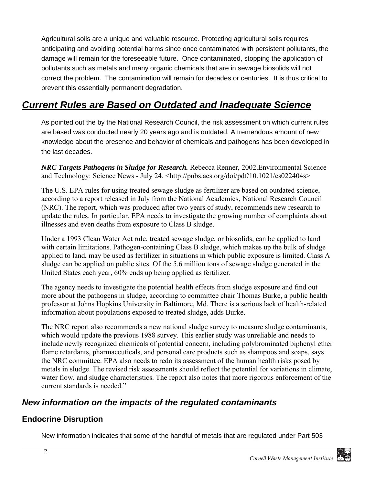Agricultural soils are a unique and valuable resource. Protecting agricultural soils requires anticipating and avoiding potential harms since once contaminated with persistent pollutants, the damage will remain for the foreseeable future. Once contaminated, stopping the application of pollutants such as metals and many organic chemicals that are in sewage biosolids will not correct the problem. The contamination will remain for decades or centuries. It is thus critical to prevent this essentially permanent degradation.

# *Current Rules are Based on Outdated and Inadequate Science*

As pointed out the by the National Research Council, the risk assessment on which current rules are based was conducted nearly 20 years ago and is outdated. A tremendous amount of new knowledge about the presence and behavior of chemicals and pathogens has been developed in the last decades.

*NRC Targets Pathogens in Sludge for Research.* Rebecca Renner, 2002.Environmental Science and Technology: Science News - July 24. <http://pubs.acs.org/doi/pdf/10.1021/es022404s>

The U.S. EPA rules for using treated sewage sludge as fertilizer are based on outdated science, according to a report released in July from the National Academies, National Research Council (NRC). The report, which was produced after two years of study, recommends new research to update the rules. In particular, EPA needs to investigate the growing number of complaints about illnesses and even deaths from exposure to Class B sludge.

Under a 1993 Clean Water Act rule, treated sewage sludge, or biosolids, can be applied to land with certain limitations. Pathogen-containing Class B sludge, which makes up the bulk of sludge applied to land, may be used as fertilizer in situations in which public exposure is limited. Class A sludge can be applied on public sites. Of the 5.6 million tons of sewage sludge generated in the United States each year, 60% ends up being applied as fertilizer.

The agency needs to investigate the potential health effects from sludge exposure and find out more about the pathogens in sludge, according to committee chair Thomas Burke, a public health professor at Johns Hopkins University in Baltimore, Md. There is a serious lack of health-related information about populations exposed to treated sludge, adds Burke.

The NRC report also recommends a new national sludge survey to measure sludge contaminants, which would update the previous 1988 survey. This earlier study was unreliable and needs to include newly recognized chemicals of potential concern, including polybrominated biphenyl ether flame retardants, pharmaceuticals, and personal care products such as shampoos and soaps, says the NRC committee. EPA also needs to redo its assessment of the human health risks posed by metals in sludge. The revised risk assessments should reflect the potential for variations in climate, water flow, and sludge characteristics. The report also notes that more rigorous enforcement of the current standards is needed."

### *New information on the impacts of the regulated contaminants*

### **Endocrine Disruption**

New information indicates that some of the handful of metals that are regulated under Part 503

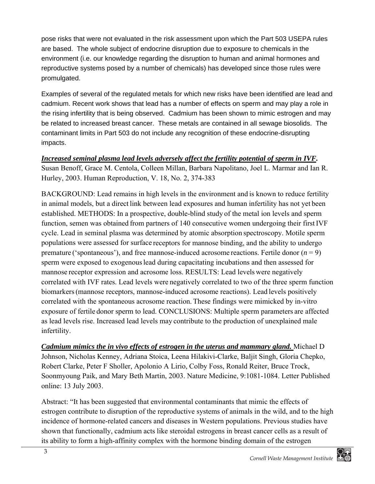pose risks that were not evaluated in the risk assessment upon which the Part 503 USEPA rules are based. The whole subject of endocrine disruption due to exposure to chemicals in the environment (i.e. our knowledge regarding the disruption to human and animal hormones and reproductive systems posed by a number of chemicals) has developed since those rules were promulgated.

Examples of several of the regulated metals for which new risks have been identified are lead and cadmium. Recent work shows that lead has a number of effects on sperm and may play a role in the rising infertility that is being observed. Cadmium has been shown to mimic estrogen and may be related to increased breast cancer. These metals are contained in all sewage biosolids. The contaminant limits in Part 503 do not include any recognition of these endocrine-disrupting impacts.

*Increased seminal plasma lead levels adversely affect the fertility potential of sperm in IVF.*  Susan Benoff, Grace M. Centola, Colleen Millan, Barbara Napolitano, Joel L. Marmar and Ian R. Hurley, 2003. Human Reproduction, V. 18, No. 2, 374-383

BACKGROUND: Lead remains in high levels in the environment and is known to reduce fertility in animal models, but a direct link between lead exposures and human infertility has not yet been established. METHODS: In a prospective, double-blind study of the metal ion levels and sperm function, semen was obtained from partners of 140 consecutive women undergoing their first IVF cycle. Lead in seminal plasma was determined by atomic absorption spectroscopy. Motile sperm populations were assessed for surface receptors for mannose binding, and the ability to undergo premature ('spontaneous'), and free mannose-induced acrosome reactions. Fertile donor  $(n = 9)$ sperm were exposed to exogenous lead during capacitating incubations and then assessed for mannose receptor expression and acrosome loss. RESULTS: Lead levels were negatively correlated with IVF rates. Lead levels were negatively correlated to two of the three sperm function biomarkers(mannose receptors, mannose-induced acrosome reactions). Lead levels positively correlated with the spontaneous acrosome reaction. These findings were mimicked by in-vitro exposure of fertile donor sperm to lead. CONCLUSIONS: Multiple sperm parameters are affected as lead levels rise. Increased lead levels may contribute to the production of unexplained male infertility.

*Cadmium mimics the in vivo effects of estrogen in the uterus and mammary gland.* Michael D Johnson, Nicholas Kenney, Adriana Stoica, Leena Hilakivi-Clarke, Baljit Singh, Gloria Chepko, Robert Clarke, Peter F Sholler, Apolonio A Lirio, Colby Foss, Ronald Reiter, Bruce Trock, Soonmyoung Paik, and Mary Beth Martin, 2003. Nature Medicine, 9:1081-1084. Letter Published online: 13 July 2003.

Abstract: "It has been suggested that environmental contaminants that mimic the effects of estrogen contribute to disruption of the reproductive systems of animals in the wild, and to the high incidence of hormone-related cancers and diseases in Western populations. Previous studies have shown that functionally, cadmium acts like steroidal estrogens in breast cancer cells as a result of its ability to form a high-affinity complex with the hormone binding domain of the estrogen

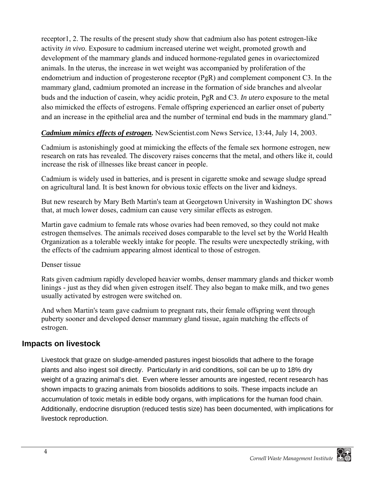receptor1, 2. The results of the present study show that cadmium also has potent estrogen-like activity *in vivo*. Exposure to cadmium increased uterine wet weight, promoted growth and development of the mammary glands and induced hormone-regulated genes in ovariectomized animals. In the uterus, the increase in wet weight was accompanied by proliferation of the endometrium and induction of progesterone receptor (PgR) and complement component C3. In the mammary gland, cadmium promoted an increase in the formation of side branches and alveolar buds and the induction of casein, whey acidic protein, PgR and C3. *In utero* exposure to the metal also mimicked the effects of estrogens. Female offspring experienced an earlier onset of puberty and an increase in the epithelial area and the number of terminal end buds in the mammary gland."

#### *Cadmium mimics effects of estrogen.* NewScientist.com News Service, 13:44, July 14, 2003.

Cadmium is astonishingly good at mimicking the effects of the female sex hormone estrogen, new research on rats has revealed. The discovery raises concerns that the metal, and others like it, could increase the risk of illnesses like breast cancer in people.

Cadmium is widely used in batteries, and is present in cigarette smoke and sewage sludge spread on agricultural land. It is best known for obvious toxic effects on the liver and kidneys.

But new research by Mary Beth Martin's team at Georgetown University in Washington DC shows that, at much lower doses, cadmium can cause very similar effects as estrogen.

Martin gave cadmium to female rats whose ovaries had been removed, so they could not make estrogen themselves. The animals received doses comparable to the level set by the World Health Organization as a tolerable weekly intake for people. The results were unexpectedly striking, with the effects of the cadmium appearing almost identical to those of estrogen.

#### Denser tissue

Rats given cadmium rapidly developed heavier wombs, denser mammary glands and thicker womb linings - just as they did when given estrogen itself. They also began to make milk, and two genes usually activated by estrogen were switched on.

And when Martin's team gave cadmium to pregnant rats, their female offspring went through puberty sooner and developed denser mammary gland tissue, again matching the effects of estrogen.

#### **Impacts on livestock**

Livestock that graze on sludge-amended pastures ingest biosolids that adhere to the forage plants and also ingest soil directly. Particularly in arid conditions, soil can be up to 18% dry weight of a grazing animal's diet. Even where lesser amounts are ingested, recent research has shown impacts to grazing animals from biosolids additions to soils. These impacts include an accumulation of toxic metals in edible body organs, with implications for the human food chain. Additionally, endocrine disruption (reduced testis size) has been documented, with implications for livestock reproduction.

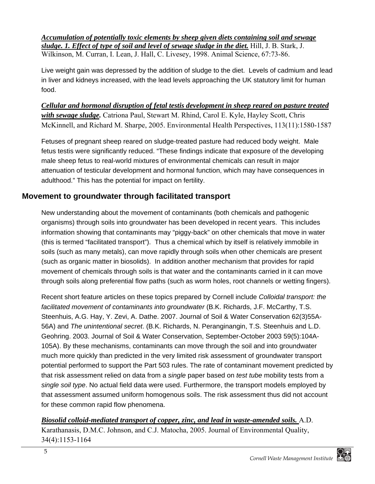*Accumulation of potentially toxic elements by sheep given diets containing soil and sewage sludge. 1. Effect of type of soil and level of sewage sludge in the diet.* Hill, J. B. Stark, J. Wilkinson, M. Curran, I. Lean, J. Hall, C. Livesey, 1998. Animal Science, 67:73-86.

Live weight gain was depressed by the addition of sludge to the diet. Levels of cadmium and lead in liver and kidneys increased, with the lead levels approaching the UK statutory limit for human food.

*Cellular and hormonal disruption of fetal testis development in sheep reared on pasture treated with sewage sludge.* Catriona Paul, Stewart M. Rhind, Carol E. Kyle, Hayley Scott, Chris McKinnell, and Richard M. Sharpe, 2005. Environmental Health Perspectives, 113(11):1580-1587

Fetuses of pregnant sheep reared on sludge-treated pasture had reduced body weight. Male fetus testis were significantly reduced. "These findings indicate that exposure of the developing male sheep fetus to real-world mixtures of environmental chemicals can result in major attenuation of testicular development and hormonal function, which may have consequences in adulthood." This has the potential for impact on fertility.

### **Movement to groundwater through facilitated transport**

New understanding about the movement of contaminants (both chemicals and pathogenic organisms) through soils into groundwater has been developed in recent years. This includes information showing that contaminants may "piggy-back" on other chemicals that move in water (this is termed "facilitated transport"). Thus a chemical which by itself is relatively immobile in soils (such as many metals), can move rapidly through soils when other chemicals are present (such as organic matter in biosolids). In addition another mechanism that provides for rapid movement of chemicals through soils is that water and the contaminants carried in it can move through soils along preferential flow paths (such as worm holes, root channels or wetting fingers).

Recent short feature articles on these topics prepared by Cornell include *Colloidal transport: the*  facilitated movement of contaminants into groundwater *(B.K. Richards, J.F. McCarthy, T.S.* Steenhuis, A.G. Hay, Y. Zevi, A. Dathe. 2007. Journal of Soil & Water Conservation 62(3)55A-56A) and *The unintentional secret*. (B.K. Richards, N. Peranginangin, T.S. Steenhuis and L.D. Geohring. 2003. Journal of Soil & Water Conservation, September-October 2003 59(5):104A-105A). By these mechanisms, contaminants can move through the soil and into groundwater much more quickly than predicted in the very limited risk assessment of groundwater transport potential performed to support the Part 503 rules. The rate of contaminant movement predicted by that risk assessment relied on data from a *single* paper based on *test tube* mobility tests from a *single soil type*. No actual field data were used. Furthermore, the transport models employed by that assessment assumed uniform homogenous soils. The risk assessment thus did not account for these common rapid flow phenomena.

*Biosolid colloid-mediated transport of copper, zinc, and lead in waste-amended soils.* A.D. Karathanasis, D.M.C. Johnson, and C.J. Matocha, 2005. Journal of Environmental Quality, 34(4):1153-1164

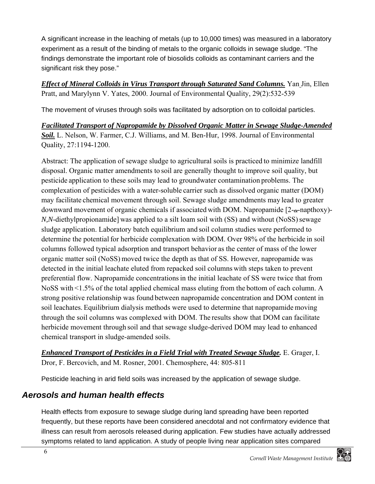A significant increase in the leaching of metals (up to 10,000 times) was measured in a laboratory experiment as a result of the binding of metals to the organic colloids in sewage sludge. "The findings demonstrate the important role of biosolids colloids as contaminant carriers and the significant risk they pose."

*Effect of Mineral Colloids in Virus Transport through Saturated Sand Columns.* Yan Jin, Ellen Pratt, and Marylynn V. Yates, 2000. Journal of Environmental Quality, 29(2):532-539

The movement of viruses through soils was facilitated by adsorption on to colloidal particles.

*Facilitated Transport of Napropamide by Dissolved Organic Matter in Sewage Sludge-Amended Soil.* L. Nelson, W. Farmer, C.J. Williams, and M. Ben-Hur, 1998. Journal of Environmental Quality, 27:1194-1200.

Abstract: The application of sewage sludge to agricultural soils is practiced to minimize landfill disposal. Organic matter amendments to soil are generally thought to improve soil quality, but pesticide application to these soils may lead to groundwater contamination problems. The complexation of pesticides with a water-soluble carrier such as dissolved organic matter (DOM) may facilitate chemical movement through soil. Sewage sludge amendments may lead to greater downward movement of organic chemicals if associated with DOM. Napropamide  $[2-a$ -napthoxy)-*N,N*-diethylpropionamide] was applied to a silt loam soil with (SS) and without (NoSS) sewage sludge application. Laboratory batch equilibrium and soil column studies were performed to determine the potential for herbicide complexation with DOM. Over 98% of the herbicide in soil columns followed typical adsorption and transport behavior as the center of mass of the lower organic matter soil (NoSS) moved twice the depth as that of SS. However, napropamide was detected in the initial leachate eluted from repacked soil columns with steps taken to prevent preferential flow. Napropamide concentrations in the initial leachate of SS were twice that from NoSS with <1.5% of the total applied chemical mass eluting from the bottom of each column. A strong positive relationship was found between napropamide concentration and DOM content in soil leachates. Equilibrium dialysis methods were used to determine that napropamide moving through the soil columns was complexed with DOM. The results show that DOM can facilitate herbicide movement through soil and that sewage sludge-derived DOM may lead to enhanced chemical transport in sludge-amended soils.

*Enhanced Transport of Pesticides in a Field Trial with Treated Sewage Sludge.* E. Grager, I. Dror, F. Bercovich, and M. Rosner, 2001. Chemosphere, 44: 805-811

Pesticide leaching in arid field soils was increased by the application of sewage sludge.

### *Aerosols and human health effects*

Health effects from exposure to sewage sludge during land spreading have been reported frequently, but these reports have been considered anecdotal and not confirmatory evidence that illness can result from aerosols released during application. Few studies have actually addressed symptoms related to land application. A study of people living near application sites compared

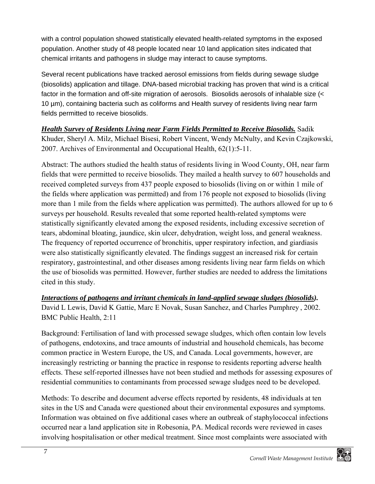with a control population showed statistically elevated health-related symptoms in the exposed population. Another study of 48 people located near 10 land application sites indicated that chemical irritants and pathogens in sludge may interact to cause symptoms.

Several recent publications have tracked aerosol emissions from fields during sewage sludge (biosolids) application and tillage. DNA-based microbial tracking has proven that wind is a critical factor in the formation and off-site migration of aerosols. Biosolids aerosols of inhalable size (< 10 µm), containing bacteria such as coliforms and Health survey of residents living near farm fields permitted to receive biosolids.

*Health Survey of Residents Living near Farm Fields Permitted to Receive Biosolids.* Sadik Khuder, Sheryl A. Milz, Michael Bisesi, Robert Vincent, Wendy McNulty, and Kevin Czajkowski, 2007. Archives of Environmental and Occupational Health, 62(1):5-11.

Abstract: The authors studied the health status of residents living in Wood County, OH, near farm fields that were permitted to receive biosolids. They mailed a health survey to 607 households and received completed surveys from 437 people exposed to biosolids (living on or within 1 mile of the fields where application was permitted) and from 176 people not exposed to biosolids (living more than 1 mile from the fields where application was permitted). The authors allowed for up to 6 surveys per household. Results revealed that some reported health-related symptoms were statistically significantly elevated among the exposed residents, including excessive secretion of tears, abdominal bloating, jaundice, skin ulcer, dehydration, weight loss, and general weakness. The frequency of reported occurrence of bronchitis, upper respiratory infection, and giardiasis were also statistically significantly elevated. The findings suggest an increased risk for certain respiratory, gastrointestinal, and other diseases among residents living near farm fields on which the use of biosolids was permitted. However, further studies are needed to address the limitations cited in this study.

*Interactions of pathogens and irritant chemicals in land-applied sewage sludges (biosolids).* David L Lewis, David K Gattie, Marc E Novak, Susan Sanchez, and Charles Pumphrey , 2002. BMC Public Health, 2:11

Background: Fertilisation of land with processed sewage sludges, which often contain low levels of pathogens, endotoxins, and trace amounts of industrial and household chemicals, has become common practice in Western Europe, the US, and Canada. Local governments, however, are increasingly restricting or banning the practice in response to residents reporting adverse health effects. These self-reported illnesses have not been studied and methods for assessing exposures of residential communities to contaminants from processed sewage sludges need to be developed.

Methods: To describe and document adverse effects reported by residents, 48 individuals at ten sites in the US and Canada were questioned about their environmental exposures and symptoms. Information was obtained on five additional cases where an outbreak of staphylococcal infections occurred near a land application site in Robesonia, PA. Medical records were reviewed in cases involving hospitalisation or other medical treatment. Since most complaints were associated with

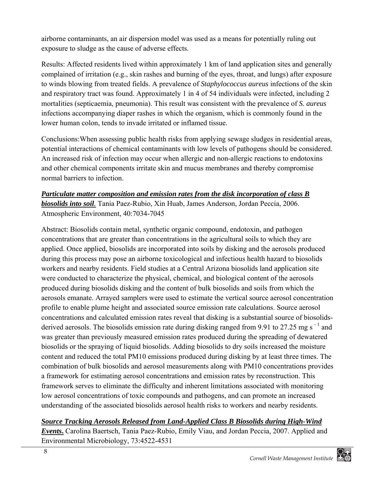airborne contaminants, an air dispersion model was used as a means for potentially ruling out exposure to sludge as the cause of adverse effects.

Results: Affected residents lived within approximately 1 km of land application sites and generally complained of irritation (e.g., skin rashes and burning of the eyes, throat, and lungs) after exposure to winds blowing from treated fields. A prevalence of *Staphylococcus aureus* infections of the skin and respiratory tract was found. Approximately 1 in 4 of 54 individuals were infected, including 2 mortalities (septicaemia, pneumonia). This result was consistent with the prevalence of *S. aureus* infections accompanying diaper rashes in which the organism, which is commonly found in the lower human colon, tends to invade irritated or inflamed tissue.

Conclusions:When assessing public health risks from applying sewage sludges in residential areas, potential interactions of chemical contaminants with low levels of pathogens should be considered. An increased risk of infection may occur when allergic and non-allergic reactions to endotoxins and other chemical components irritate skin and mucus membranes and thereby compromise normal barriers to infection.

### *Particulate matter composition and emission rates from the disk incorporation of class B biosolids into soil.* Tania Paez-Rubio, Xin Huab, James Anderson, Jordan Peccia, 2006. Atmospheric Environment, 40:7034-7045

Abstract: Biosolids contain metal, synthetic organic compound, endotoxin, and pathogen concentrations that are greater than concentrations in the agricultural soils to which they are applied. Once applied, biosolids are incorporated into soils by disking and the aerosols produced during this process may pose an airborne toxicological and infectious health hazard to biosolids workers and nearby residents. Field studies at a Central Arizona biosolids land application site were conducted to characterize the physical, chemical, and biological content of the aerosols produced during biosolids disking and the content of bulk biosolids and soils from which the aerosols emanate. Arrayed samplers were used to estimate the vertical source aerosol concentration profile to enable plume height and associated source emission rate calculations. Source aerosol concentrations and calculated emission rates reveal that disking is a substantial source of biosolidsderived aerosols. The biosolids emission rate during disking ranged from 9.91 to 27.25 mg s<sup>-1</sup> and was greater than previously measured emission rates produced during the spreading of dewatered biosolids or the spraying of liquid biosolids. Adding biosolids to dry soils increased the moisture content and reduced the total PM10 emissions produced during disking by at least three times. The combination of bulk biosolids and aerosol measurements along with PM10 concentrations provides a framework for estimating aerosol concentrations and emission rates by reconstruction. This framework serves to eliminate the difficulty and inherent limitations associated with monitoring low aerosol concentrations of toxic compounds and pathogens, and can promote an increased understanding of the associated biosolids aerosol health risks to workers and nearby residents.

### *Source Tracking Aerosols Released from Land-Applied Class B Biosolids during High-Wind*

*Events***.** Carolina Baertsch, Tania Paez-Rubio, Emily Viau, and Jordan Peccia, 2007. Applied and Environmental Microbiology, 73:4522-4531

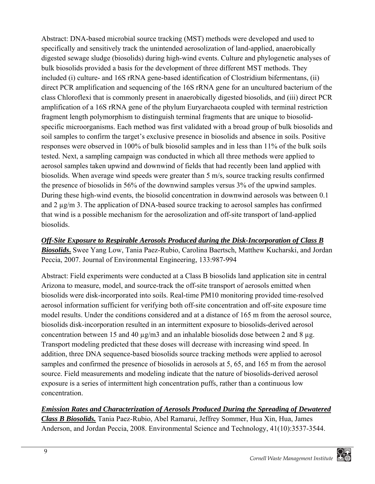Abstract: DNA-based microbial source tracking (MST) methods were developed and used to specifically and sensitively track the unintended aerosolization of land-applied, anaerobically digested sewage sludge (biosolids) during high-wind events. Culture and phylogenetic analyses of bulk biosolids provided a basis for the development of three different MST methods. They included (i) culture- and 16S rRNA gene-based identification of Clostridium bifermentans, (ii) direct PCR amplification and sequencing of the 16S rRNA gene for an uncultured bacterium of the class Chloroflexi that is commonly present in anaerobically digested biosolids, and (iii) direct PCR amplification of a 16S rRNA gene of the phylum Euryarchaeota coupled with terminal restriction fragment length polymorphism to distinguish terminal fragments that are unique to biosolidspecific microorganisms. Each method was first validated with a broad group of bulk biosolids and soil samples to confirm the target's exclusive presence in biosolids and absence in soils. Positive responses were observed in 100% of bulk biosolid samples and in less than 11% of the bulk soils tested. Next, a sampling campaign was conducted in which all three methods were applied to aerosol samples taken upwind and downwind of fields that had recently been land applied with biosolids. When average wind speeds were greater than 5 m/s, source tracking results confirmed the presence of biosolids in 56% of the downwind samples versus 3% of the upwind samples. During these high-wind events, the biosolid concentration in downwind aerosols was between 0.1 and 2 µg/m 3. The application of DNA-based source tracking to aerosol samples has confirmed that wind is a possible mechanism for the aerosolization and off-site transport of land-applied biosolids.

*Off-Site Exposure to Respirable Aerosols Produced during the Disk-Incorporation of Class B Biosolids***.** Swee Yang Low, Tania Paez-Rubio, Carolina Baertsch, Matthew Kucharski, and Jordan Peccia, 2007. Journal of Environmental Engineering, 133:987-994

Abstract: Field experiments were conducted at a Class B biosolids land application site in central Arizona to measure, model, and source-track the off-site transport of aerosols emitted when biosolids were disk-incorporated into soils. Real-time PM10 monitoring provided time-resolved aerosol information sufficient for verifying both off-site concentration and off-site exposure time model results. Under the conditions considered and at a distance of 165 m from the aerosol source, biosolids disk-incorporation resulted in an intermittent exposure to biosolids-derived aerosol concentration between 15 and 40  $\mu$ g/m3 and an inhalable biosolids dose between 2 and 8  $\mu$ g. Transport modeling predicted that these doses will decrease with increasing wind speed. In addition, three DNA sequence-based biosolids source tracking methods were applied to aerosol samples and confirmed the presence of biosolids in aerosols at 5, 65, and 165 m from the aerosol source. Field measurements and modeling indicate that the nature of biosolids-derived aerosol exposure is a series of intermittent high concentration puffs, rather than a continuous low concentration.

### *Emission Rates and Characterization of Aerosols Produced During the Spreading of Dewatered*

*Class B Biosolids.* Tania Paez-Rubio, Abel Ramarui, Jeffrey Sommer, Hua Xin, Hua, James Anderson, and Jordan Peccia, 2008. Environmental Science and Technology, 41(10):3537-3544.

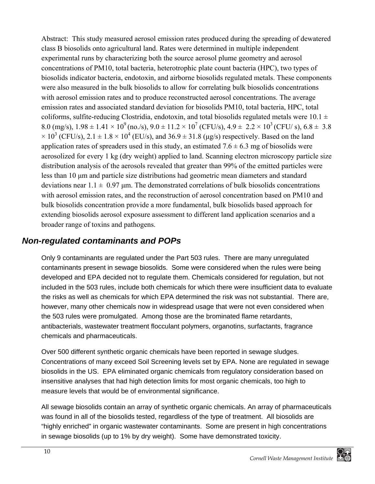Abstract: This study measured aerosol emission rates produced during the spreading of dewatered class B biosolids onto agricultural land. Rates were determined in multiple independent experimental runs by characterizing both the source aerosol plume geometry and aerosol concentrations of PM10, total bacteria, heterotrophic plate count bacteria (HPC), two types of biosolids indicator bacteria, endotoxin, and airborne biosolids regulated metals. These components were also measured in the bulk biosolids to allow for correlating bulk biosolids concentrations with aerosol emission rates and to produce reconstructed aerosol concentrations. The average emission rates and associated standard deviation for biosolids PM10, total bacteria, HPC, total coliforms, sulfite-reducing Clostridia, endotoxin, and total biosolids regulated metals were 10.1  $\pm$ 8.0 (mg/s),  $1.98 \pm 1.41 \times 10^9$  (no./s),  $9.0 \pm 11.2 \times 10^7$  (CFU/s),  $4.9 \pm 2.2 \times 10^3$  (CFU/s),  $6.8 \pm 3.8$  $\times$  10<sup>3</sup> (CFU/s), 2.1  $\pm$  1.8  $\times$  10<sup>4</sup> (EU/s), and 36.9  $\pm$  31.8 (µg/s) respectively. Based on the land application rates of spreaders used in this study, an estimated  $7.6 \pm 6.3$  mg of biosolids were aerosolized for every 1 kg (dry weight) applied to land. Scanning electron microscopy particle size distribution analysis of the aerosols revealed that greater than 99% of the emitted particles were less than 10 μm and particle size distributions had geometric mean diameters and standard deviations near  $1.1 \pm 0.97$  µm. The demonstrated correlations of bulk biosolids concentrations with aerosol emission rates, and the reconstruction of aerosol concentration based on PM10 and bulk biosolids concentration provide a more fundamental, bulk biosolids based approach for extending biosolids aerosol exposure assessment to different land application scenarios and a broader range of toxins and pathogens.

### *Non-regulated contaminants and POPs*

Only 9 contaminants are regulated under the Part 503 rules. There are many unregulated contaminants present in sewage biosolids. Some were considered when the rules were being developed and EPA decided not to regulate them. Chemicals considered for regulation, but not included in the 503 rules, include both chemicals for which there were insufficient data to evaluate the risks as well as chemicals for which EPA determined the risk was not substantial. There are, however, many other chemicals now in widespread usage that were not even considered when the 503 rules were promulgated. Among those are the brominated flame retardants, antibacterials, wastewater treatment flocculant polymers, organotins, surfactants, fragrance chemicals and pharmaceuticals.

Over 500 different synthetic organic chemicals have been reported in sewage sludges. Concentrations of many exceed Soil Screening levels set by EPA. None are regulated in sewage biosolids in the US. EPA eliminated organic chemicals from regulatory consideration based on insensitive analyses that had high detection limits for most organic chemicals, too high to measure levels that would be of environmental significance.

All sewage biosolids contain an array of synthetic organic chemicals. An array of pharmaceuticals was found in all of the biosolids tested, regardless of the type of treatment. All biosolids are "highly enriched" in organic wastewater contaminants. Some are present in high concentrations in sewage biosolids (up to 1% by dry weight). Some have demonstrated toxicity.

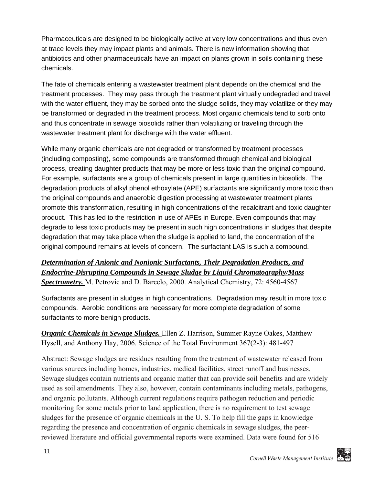Pharmaceuticals are designed to be biologically active at very low concentrations and thus even at trace levels they may impact plants and animals. There is new information showing that antibiotics and other pharmaceuticals have an impact on plants grown in soils containing these chemicals.

The fate of chemicals entering a wastewater treatment plant depends on the chemical and the treatment processes. They may pass through the treatment plant virtually undegraded and travel with the water effluent, they may be sorbed onto the sludge solids, they may volatilize or they may be transformed or degraded in the treatment process. Most organic chemicals tend to sorb onto and thus concentrate in sewage biosolids rather than volatilizing or traveling through the wastewater treatment plant for discharge with the water effluent.

While many organic chemicals are not degraded or transformed by treatment processes (including composting), some compounds are transformed through chemical and biological process, creating daughter products that may be more or less toxic than the original compound. For example, surfactants are a group of chemicals present in large quantities in biosolids. The degradation products of alkyl phenol ethoxylate (APE) surfactants are significantly more toxic than the original compounds and anaerobic digestion processing at wastewater treatment plants promote this transformation, resulting in high concentrations of the recalcitrant and toxic daughter product. This has led to the restriction in use of APEs in Europe. Even compounds that may degrade to less toxic products may be present in such high concentrations in sludges that despite degradation that may take place when the sludge is applied to land, the concentration of the original compound remains at levels of concern. The surfactant LAS is such a compound.

#### *Determination of Anionic and Nonionic Surfactants, Their Degradation Products, and Endocrine-Disrupting Compounds in Sewage Sludge by Liquid Chromatography/Mass Spectrometry.* M. Petrovic and D. Barcelo, 2000. Analytical Chemistry, 72: 4560-4567

Surfactants are present in sludges in high concentrations. Degradation may result in more toxic compounds. Aerobic conditions are necessary for more complete degradation of some surfactants to more benign products.

*Organic Chemicals in Sewage Sludges.* Ellen Z. Harrison, Summer Rayne Oakes, Matthew Hysell, and Anthony Hay, 2006. Science of the Total Environment 367(2-3): 481-497

Abstract: Sewage sludges are residues resulting from the treatment of wastewater released from various sources including homes, industries, medical facilities, street runoff and businesses. Sewage sludges contain nutrients and organic matter that can provide soil benefits and are widely used as soil amendments. They also, however, contain contaminants including metals, pathogens, and organic pollutants. Although current regulations require pathogen reduction and periodic monitoring for some metals prior to land application, there is no requirement to test sewage sludges for the presence of organic chemicals in the U. S. To help fill the gaps in knowledge regarding the presence and concentration of organic chemicals in sewage sludges, the peerreviewed literature and official governmental reports were examined. Data were found for 516

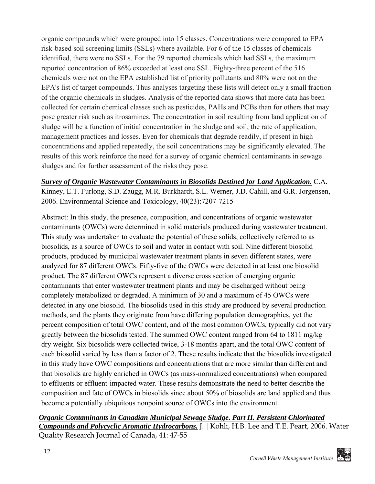organic compounds which were grouped into 15 classes. Concentrations were compared to EPA risk-based soil screening limits (SSLs) where available. For 6 of the 15 classes of chemicals identified, there were no SSLs. For the 79 reported chemicals which had SSLs, the maximum reported concentration of 86% exceeded at least one SSL. Eighty-three percent of the 516 chemicals were not on the EPA established list of priority pollutants and 80% were not on the EPA's list of target compounds. Thus analyses targeting these lists will detect only a small fraction of the organic chemicals in sludges. Analysis of the reported data shows that more data has been collected for certain chemical classes such as pesticides, PAHs and PCBs than for others that may pose greater risk such as itrosamines. The concentration in soil resulting from land application of sludge will be a function of initial concentration in the sludge and soil, the rate of application, management practices and losses. Even for chemicals that degrade readily, if present in high concentrations and applied repeatedly, the soil concentrations may be significantly elevated. The results of this work reinforce the need for a survey of organic chemical contaminants in sewage sludges and for further assessment of the risks they pose.

*Survey of Organic Wastewater Contaminants in Biosolids Destined for Land Application.* C.A. Kinney, E.T. Furlong, S.D. Zaugg, M.R. Burkhardt, S.L. Werner, J.D. Cahill, and G.R. Jorgensen, 2006. Environmental Science and Toxicology, 40(23):7207-7215

Abstract: In this study, the presence, composition, and concentrations of organic wastewater contaminants (OWCs) were determined in solid materials produced during wastewater treatment. This study was undertaken to evaluate the potential of these solids, collectively referred to as biosolids, as a source of OWCs to soil and water in contact with soil. Nine different biosolid products, produced by municipal wastewater treatment plants in seven different states, were analyzed for 87 different OWCs. Fifty-five of the OWCs were detected in at least one biosolid product. The 87 different OWCs represent a diverse cross section of emerging organic contaminants that enter wastewater treatment plants and may be discharged without being completely metabolized or degraded. A minimum of 30 and a maximum of 45 OWCs were detected in any one biosolid. The biosolids used in this study are produced by several production methods, and the plants they originate from have differing population demographics, yet the percent composition of total OWC content, and of the most common OWCs, typically did not vary greatly between the biosolids tested. The summed OWC content ranged from 64 to 1811 mg/kg dry weight. Six biosolids were collected twice, 3-18 months apart, and the total OWC content of each biosolid varied by less than a factor of 2. These results indicate that the biosolids investigated in this study have OWC compositions and concentrations that are more similar than different and that biosolids are highly enriched in OWCs (as mass-normalized concentrations) when compared to effluents or effluent-impacted water. These results demonstrate the need to better describe the composition and fate of OWCs in biosolids since about 50% of biosolids are land applied and thus become a potentially ubiquitous nonpoint source of OWCs into the environment.

#### *Organic Contaminants in Canadian Municipal Sewage Sludge. Part II. Persistent Chlorinated Compounds and Polycyclic Aromatic Hydrocarbons.* J. |Kohli, H.B. Lee and T.E. Peart, 2006. Water Quality Research Journal of Canada, 41: 47-55

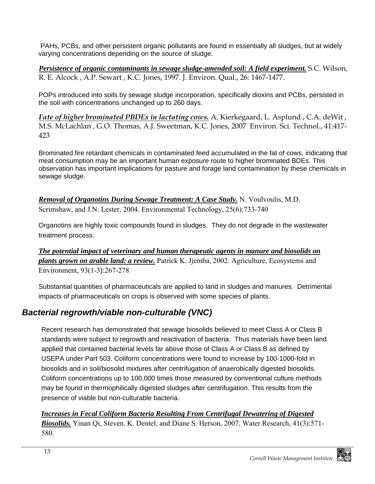PAHs, PCBs, and other persistent organic pollutants are found in essentially all sludges, but at widely varying concentrations depending on the source of sludge.

*Persistence of organic contaminants in sewage sludge-amended soil: A field experiment.* S.C. Wilson, R. E. Alcock , A.P. Sewart , K.C. Jones, 1997. J. Environ. Qual., 26: 1467-1477.

POPs introduced into soils by sewage sludge incorporation, specifically dioxins and PCBs, persisted in the soil with concentrations unchanged up to 260 days.

*Fate of higher brominated PBDEs in lactating cows.* A. Kierkegaard, L. Asplund , C.A. deWit , M.S. McLachlan , G.O. Thomas, A.J. Sweetman, K.C. Jones, 2007 Environ. Sci. Technol., 41:417- 423

Brominated fire retardant chemicals in contaminated feed accumulated in the fat of cows, indicating that meat consumption may be an important human exposure route to higher brominated BDEs. This observation has important implications for pasture and forage land contamination by these chemicals in sewage sludge.

*Removal of Organotins During Sewage Treatment: A Case Study.* N. Voulvoulis, M.D. Scrimshaw, and J.N. Lester, 2004. Environmental Technology, 25(6):733-740

Organotins are highly toxic compounds found in sludges. They do not degrade in the wastewater treatment process.

*The potential impact of veterinary and human therapeutic agents in manure and biosolids on plants grown on arable land: a review.* Patrick K. Jjemba, 2002. Agriculture, Ecosystems and Environment, 93(1-3):267-278

Substantial quantities of pharmaceuticals are applied to land in sludges and manures. Detrimental impacts of pharmaceuticals on crops is observed with some species of plants.

### *Bacterial regrowth/viable non-culturable (VNC)*

Recent research has demonstrated that sewage biosolids believed to meet Class A or Class B standards were subject to regrowth and reactivation of bacteria. Thus materials have been land applied that contained bacterial levels far above those of Class A or Class B as defined by USEPA under Part 503. Coliform concentrations were found to increase by 100-1000-fold in biosolids and in soil/biosolid mixtures after centrifugation of anaerobically digested biosolids. Coliform concentrations up to 100,000 times those measured by conventional culture methods may be found in thermophilically digested sludges after centrifugation. This results from the presence of viable but non-culturable bacteria.

*Increases in Fecal Coliform Bacteria Resulting From Centrifugal Dewatering of Digested Biosolids.* Yinan Qi, Steven. K. Dentel, and Diane S. Herson, 2007. Water Research, 41(3):571- 580.

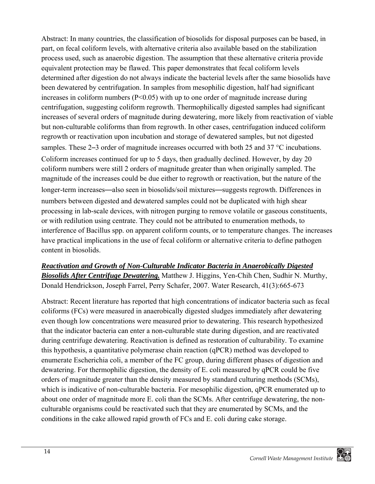Abstract: In many countries, the classification of biosolids for disposal purposes can be based, in part, on fecal coliform levels, with alternative criteria also available based on the stabilization process used, such as anaerobic digestion. The assumption that these alternative criteria provide equivalent protection may be flawed. This paper demonstrates that fecal coliform levels determined after digestion do not always indicate the bacterial levels after the same biosolids have been dewatered by centrifugation. In samples from mesophilic digestion, half had significant increases in coliform numbers ( $P < 0.05$ ) with up to one order of magnitude increase during centrifugation, suggesting coliform regrowth. Thermophilically digested samples had significant increases of several orders of magnitude during dewatering, more likely from reactivation of viable but non-culturable coliforms than from regrowth. In other cases, centrifugation induced coliform regrowth or reactivation upon incubation and storage of dewatered samples, but not digested samples. These 2–3 order of magnitude increases occurred with both 25 and 37 °C incubations. Coliform increases continued for up to 5 days, then gradually declined. However, by day 20 coliform numbers were still 2 orders of magnitude greater than when originally sampled. The magnitude of the increases could be due either to regrowth or reactivation, but the nature of the longer-term increases—also seen in biosolids/soil mixtures—suggests regrowth. Differences in numbers between digested and dewatered samples could not be duplicated with high shear processing in lab-scale devices, with nitrogen purging to remove volatile or gaseous constituents, or with redilution using centrate. They could not be attributed to enumeration methods, to interference of Bacillus spp. on apparent coliform counts, or to temperature changes. The increases have practical implications in the use of fecal coliform or alternative criteria to define pathogen content in biosolids.

*Reactivation and Growth of Non-Culturable Indicator Bacteria in Anaerobically Digested Biosolids After Centrifuge Dewatering.* Matthew J. Higgins, Yen-Chih Chen, Sudhir N. Murthy, Donald Hendrickson, Joseph Farrel, Perry Schafer, 2007. Water Research, 41(3):665-673

Abstract: Recent literature has reported that high concentrations of indicator bacteria such as fecal coliforms (FCs) were measured in anaerobically digested sludges immediately after dewatering even though low concentrations were measured prior to dewatering. This research hypothesized that the indicator bacteria can enter a non-culturable state during digestion, and are reactivated during centrifuge dewatering. Reactivation is defined as restoration of culturability. To examine this hypothesis, a quantitative polymerase chain reaction (qPCR) method was developed to enumerate Escherichia coli, a member of the FC group, during different phases of digestion and dewatering. For thermophilic digestion, the density of E. coli measured by qPCR could be five orders of magnitude greater than the density measured by standard culturing methods (SCMs), which is indicative of non-culturable bacteria. For mesophilic digestion, qPCR enumerated up to about one order of magnitude more E. coli than the SCMs. After centrifuge dewatering, the nonculturable organisms could be reactivated such that they are enumerated by SCMs, and the conditions in the cake allowed rapid growth of FCs and E. coli during cake storage.

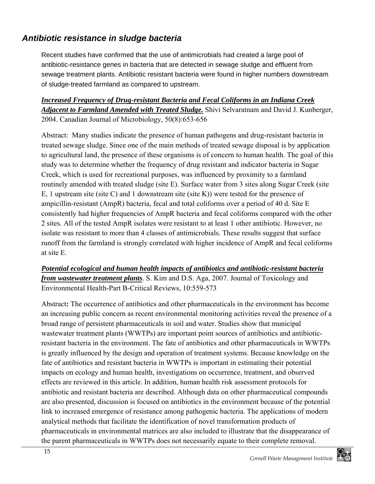### *Antibiotic resistance in sludge bacteria*

Recent studies have confirmed that the use of antimicrobials had created a large pool of antibiotic-resistance genes in bacteria that are detected in sewage sludge and effluent from sewage treatment plants. Antibiotic resistant bacteria were found in higher numbers downstream of sludge-treated farmland as compared to upstream.

### *Increased Frequency of Drug-resistant Bacteria and Fecal Coliforms in an Indiana Creek Adjacent to Farmland Amended with Treated Sludge.* Shivi Selvaratnam and David J. Kunberger, 2004. Canadian Journal of Microbiology, 50(8):653-656

Abstract: Many studies indicate the presence of human pathogens and drug-resistant bacteria in treated sewage sludge. Since one of the main methods of treated sewage disposal is by application to agricultural land, the presence of these organisms is of concern to human health. The goal of this study was to determine whether the frequency of drug resistant and indicator bacteria in Sugar Creek, which is used for recreational purposes, was influenced by proximity to a farmland routinely amended with treated sludge (site E). Surface water from 3 sites along Sugar Creek (site E, 1 upstream site (site C) and 1 downstream site (site K)) were tested for the presence of ampicillin-resistant (AmpR) bacteria, fecal and total coliforms over a period of 40 d. Site E consistently had higher frequencies of AmpR bacteria and fecal coliforms compared with the other 2 sites. All of the tested AmpR isolates were resistant to at least 1 other antibiotic. However, no isolate was resistant to more than 4 classes of antimicrobials. These results suggest that surface runoff from the farmland is strongly correlated with higher incidence of AmpR and fecal coliforms at site E.

*Potential ecological and human health impacts of antibiotics and antibiotic-resistant bacteria from wastewater treatment plants.* S. Kim and D.S. Aga, 2007. Journal of Toxicology and Environmental Health-Part B-Critical Reviews, 10:559-573

Abstract**:** The occurrence of antibiotics and other pharmaceuticals in the environment has become an increasing public concern as recent environmental monitoring activities reveal the presence of a broad range of persistent pharmaceuticals in soil and water. Studies show that municipal wastewater treatment plants (WWTPs) are important point sources of antibiotics and antibioticresistant bacteria in the environment. The fate of antibiotics and other pharmaceuticals in WWTPs is greatly influenced by the design and operation of treatment systems. Because knowledge on the fate of antibiotics and resistant bacteria in WWTPs is important in estimating their potential impacts on ecology and human health, investigations on occurrence, treatment, and observed effects are reviewed in this article. In addition, human health risk assessment protocols for antibiotic and resistant bacteria are described. Although data on other pharmaceutical compounds are also presented, discussion is focused on antibiotics in the environment because of the potential link to increased emergence of resistance among pathogenic bacteria. The applications of modern analytical methods that facilitate the identification of novel transformation products of pharmaceuticals in environmental matrices are also included to illustrate that the disappearance of the parent pharmaceuticals in WWTPs does not necessarily equate to their complete removal.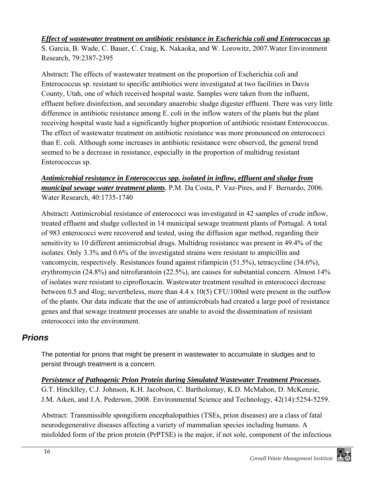#### *Effect of wastewater treatment on antibiotic resistance in Escherichia coli and Enterococcus sp.*

S. Garcia, B. Wade, C. Bauer, C. Craig, K. Nakaoka, and W. Lorowitz, 2007.Water Environment Research, 79:2387-2395

Abstract**:** The effects of wastewater treatment on the proportion of Escherichia coli and Enterococcus sp. resistant to specific antibiotics were investigated at two facilities in Davis County, Utah, one of which received hospital waste. Samples were taken from the influent, effluent before disinfection, and secondary anaerobic sludge digester effluent. There was very little difference in antibiotic resistance among E. coli in the inflow waters of the plants but the plant receiving hospital waste had a significantly higher proportion of antibiotic resistant Enterococcus. The effect of wastewater treatment on antibiotic resistance was more pronounced on enterococci than E. coli. Although some increases in antibiotic resistance were observed, the general trend seemed to be a decrease in resistance, especially in the proportion of multidrug resistant Enterococcus sp.

### *Antimicrobial resistance in Enterococcus spp. isolated in inflow, effluent and sludge from municipal sewage water treatment plants.* P.M. Da Costa, P. Vaz-Pires, and F. Bernardo, 2006. Water Research, 40:1735-1740

Abstract**:** Antimicrobial resistance of enterococci was investigated in 42 samples of crude inflow, treated effluent and sludge collected in 14 municipal sewage treatment plants of Portugal. A total of 983 enterococci were recovered and tested, using the diffusion agar method, regarding their sensitivity to 10 different antimicrobial drugs. Multidrug resistance was present in 49.4% of the isolates. Only 3.3% and 0.6% of the investigated strains were resistant to ampicillin and vancomycin, respectively. Resistances found against rifampicin (51.5%), tetracycline (34.6%), erythromycin (24.8%) and nitrofurantoin (22.5%), are causes for substantial concern. Almost 14% of isolates were resistant to ciprofloxacin. Wastewater treatment resulted in enterococci decrease between 0.5 and 4log; nevertheless, more than 4.4 x 10(5) CFU/100ml were present in the outflow of the plants. Our data indicate that the use of antimicrobials had created a large pool of resistance genes and that sewage treatment processes are unable to avoid the dissemination of resistant enterococci into the environment.

### *Prions*

The potential for prions that might be present in wastewater to accumulate in sludges and to persist through treatment is a concern.

*Persistence of Pathogenic Prion Protein during Simulated Wastewater Treatment Processes***.** G.T. Hincklley, C.J. Johnson, K.H. Jacobson, C. Bartholomay, K.D. McMahon, D. McKenzie, J.M. Aiken, and J.A. Pederson, 2008. Environmental Science and Technology, 42(14):5254-5259.

Abstract: Transmissible spongiform encephalopathies (TSEs, prion diseases) are a class of fatal neurodegenerative diseases affecting a variety of mammalian species including humans. A misfolded form of the prion protein (PrPTSE) is the major, if not sole, component of the infectious

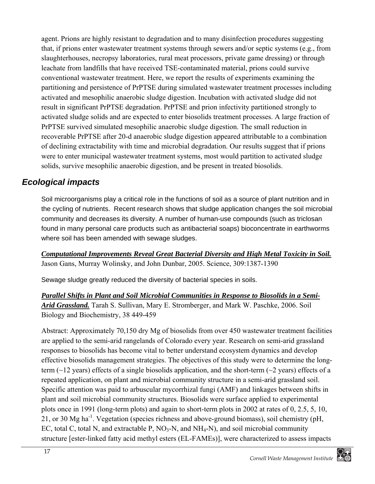agent. Prions are highly resistant to degradation and to many disinfection procedures suggesting that, if prions enter wastewater treatment systems through sewers and/or septic systems (e.g., from slaughterhouses, necropsy laboratories, rural meat processors, private game dressing) or through leachate from landfills that have received TSE-contaminated material, prions could survive conventional wastewater treatment. Here, we report the results of experiments examining the partitioning and persistence of PrPTSE during simulated wastewater treatment processes including activated and mesophilic anaerobic sludge digestion. Incubation with activated sludge did not result in significant PrPTSE degradation. PrPTSE and prion infectivity partitioned strongly to activated sludge solids and are expected to enter biosolids treatment processes. A large fraction of PrPTSE survived simulated mesophilic anaerobic sludge digestion. The small reduction in recoverable PrPTSE after 20-d anaerobic sludge digestion appeared attributable to a combination of declining extractability with time and microbial degradation. Our results suggest that if prions were to enter municipal wastewater treatment systems, most would partition to activated sludge solids, survive mesophilic anaerobic digestion, and be present in treated biosolids.

### *Ecological impacts*

Soil microorganisms play a critical role in the functions of soil as a source of plant nutrition and in the cycling of nutrients. Recent research shows that sludge application changes the soil microbial community and decreases its diversity. A number of human-use compounds (such as triclosan found in many personal care products such as antibacterial soaps) bioconcentrate in earthworms where soil has been amended with sewage sludges.

*Computational Improvements Reveal Great Bacterial Diversity and High Metal Toxicity in Soil.* Jason Gans, Murray Wolinsky, and John Dunbar, 2005. Science, 309:1387-1390

Sewage sludge greatly reduced the diversity of bacterial species in soils.

*Parallel Shifts in Plant and Soil Microbial Communities in Response to Biosolids in a Semi-Arid Grassland.* Tarah S. Sullivan, Mary E. Stromberger, and Mark W. Paschke, 2006. Soil Biology and Biochemistry, 38 449-459

Abstract: Approximately 70,150 dry Mg of biosolids from over 450 wastewater treatment facilities are applied to the semi-arid rangelands of Colorado every year. Research on semi-arid grassland responses to biosolids has become vital to better understand ecosystem dynamics and develop effective biosolids management strategies. The objectives of this study were to determine the longterm ( $\sim$ 12 years) effects of a single biosolids application, and the short-term ( $\sim$ 2 years) effects of a repeated application, on plant and microbial community structure in a semi-arid grassland soil. Specific attention was paid to arbuscular mycorrhizal fungi (AMF) and linkages between shifts in plant and soil microbial community structures. Biosolids were surface applied to experimental plots once in 1991 (long-term plots) and again to short-term plots in 2002 at rates of 0, 2.5, 5, 10, 21, or 30 Mg ha<sup>-1</sup>. Vegetation (species richness and above-ground biomass), soil chemistry (pH, EC, total C, total N, and extractable P,  $NO<sub>3</sub>-N$ , and  $NH<sub>4</sub>-N$ ), and soil microbial community structure [ester-linked fatty acid methyl esters (EL-FAMEs)], were characterized to assess impacts

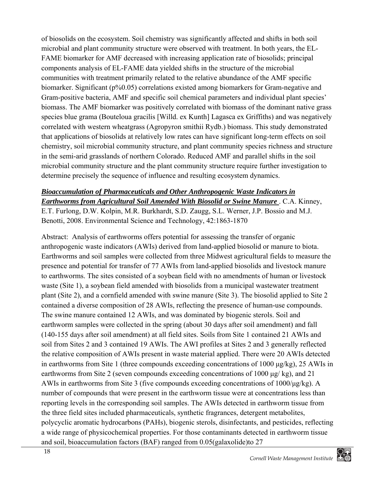of biosolids on the ecosystem. Soil chemistry was significantly affected and shifts in both soil microbial and plant community structure were observed with treatment. In both years, the EL-FAME biomarker for AMF decreased with increasing application rate of biosolids; principal components analysis of EL-FAME data yielded shifts in the structure of the microbial communities with treatment primarily related to the relative abundance of the AMF specific biomarker. Significant (p%0.05) correlations existed among biomarkers for Gram-negative and Gram-positive bacteria, AMF and specific soil chemical parameters and individual plant species' biomass. The AMF biomarker was positively correlated with biomass of the dominant native grass species blue grama (Bouteloua gracilis [Willd. ex Kunth] Lagasca ex Griffiths) and was negatively correlated with western wheatgrass (Agropyron smithii Rydb.) biomass. This study demonstrated that applications of biosolids at relatively low rates can have significant long-term effects on soil chemistry, soil microbial community structure, and plant community species richness and structure in the semi-arid grasslands of northern Colorado. Reduced AMF and parallel shifts in the soil microbial community structure and the plant community structure require further investigation to determine precisely the sequence of influence and resulting ecosystem dynamics.

### *Bioaccumulation of Pharmaceuticals and Other Anthropogenic Waste Indicators in Earthworms from Agricultural Soil Amended With Biosolid or Swine Manure* . C.A. Kinney,

E.T. Furlong, D.W. Kolpin, M.R. Burkhardt, S.D. Zaugg, S.L. Werner, J.P. Bossio and M.J. Benotti, 2008. Environmental Science and Technology, 42:1863-1870

Abstract: Analysis of earthworms offers potential for assessing the transfer of organic anthropogenic waste indicators (AWIs) derived from land-applied biosolid or manure to biota. Earthworms and soil samples were collected from three Midwest agricultural fields to measure the presence and potential for transfer of 77 AWIs from land-applied biosolids and livestock manure to earthworms. The sites consisted of a soybean field with no amendments of human or livestock waste (Site 1), a soybean field amended with biosolids from a municipal wastewater treatment plant (Site 2), and a cornfield amended with swine manure (Site 3). The biosolid applied to Site 2 contained a diverse composition of 28 AWIs, reflecting the presence of human-use compounds. The swine manure contained 12 AWIs, and was dominated by biogenic sterols. Soil and earthworm samples were collected in the spring (about 30 days after soil amendment) and fall (140-155 days after soil amendment) at all field sites. Soils from Site 1 contained 21 AWIs and soil from Sites 2 and 3 contained 19 AWIs. The AWI profiles at Sites 2 and 3 generally reflected the relative composition of AWIs present in waste material applied. There were 20 AWIs detected in earthworms from Site 1 (three compounds exceeding concentrations of 1000 μg/kg), 25 AWIs in earthworms from Site 2 (seven compounds exceeding concentrations of 1000 μg/ kg), and 21 AWIs in earthworms from Site 3 (five compounds exceeding concentrations of 1000/μg/kg). A number of compounds that were present in the earthworm tissue were at concentrations less than reporting levels in the corresponding soil samples. The AWIs detected in earthworm tissue from the three field sites included pharmaceuticals, synthetic fragrances, detergent metabolites, polycyclic aromatic hydrocarbons (PAHs), biogenic sterols, disinfectants, and pesticides, reflecting a wide range of physicochemical properties. For those contaminants detected in earthworm tissue and soil, bioaccumulation factors (BAF) ranged from 0.05(galaxolide)to 27

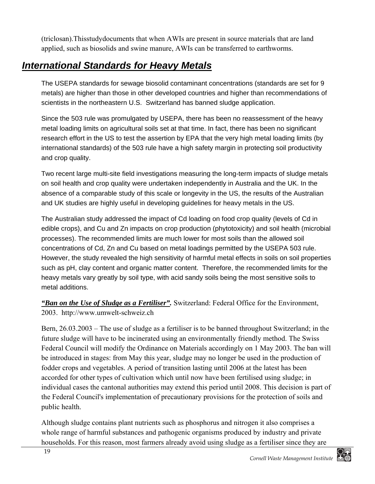(triclosan).Thisstudydocuments that when AWIs are present in source materials that are land applied, such as biosolids and swine manure, AWIs can be transferred to earthworms.

# *International Standards for Heavy Metals*

The USEPA standards for sewage biosolid contaminant concentrations (standards are set for 9 metals) are higher than those in other developed countries and higher than recommendations of scientists in the northeastern U.S. Switzerland has banned sludge application.

Since the 503 rule was promulgated by USEPA, there has been no reassessment of the heavy metal loading limits on agricultural soils set at that time. In fact, there has been no significant research effort in the US to test the assertion by EPA that the very high metal loading limits (by international standards) of the 503 rule have a high safety margin in protecting soil productivity and crop quality.

Two recent large multi-site field investigations measuring the long-term impacts of sludge metals on soil health and crop quality were undertaken independently in Australia and the UK. In the absence of a comparable study of this scale or longevity in the US, the results of the Australian and UK studies are highly useful in developing guidelines for heavy metals in the US.

The Australian study addressed the impact of Cd loading on food crop quality (levels of Cd in edible crops), and Cu and Zn impacts on crop production (phytotoxicity) and soil health (microbial processes). The recommended limits are much lower for most soils than the allowed soil concentrations of Cd, Zn and Cu based on metal loadings permitted by the USEPA 503 rule. However, the study revealed the high sensitivity of harmful metal effects in soils on soil properties such as pH, clay content and organic matter content. Therefore, the recommended limits for the heavy metals vary greatly by soil type, with acid sandy soils being the most sensitive soils to metal additions.

*"Ban on the Use of Sludge as a Fertiliser".* Switzerland: Federal Office for the Environment, 2003. http://www.umwelt-schweiz.ch

Bern, 26.03.2003 – The use of sludge as a fertiliser is to be banned throughout Switzerland; in the future sludge will have to be incinerated using an environmentally friendly method. The Swiss Federal Council will modify the Ordinance on Materials accordingly on 1 May 2003. The ban will be introduced in stages: from May this year, sludge may no longer be used in the production of fodder crops and vegetables. A period of transition lasting until 2006 at the latest has been accorded for other types of cultivation which until now have been fertilised using sludge; in individual cases the cantonal authorities may extend this period until 2008. This decision is part of the Federal Council's implementation of precautionary provisions for the protection of soils and public health.

Although sludge contains plant nutrients such as phosphorus and nitrogen it also comprises a whole range of harmful substances and pathogenic organisms produced by industry and private households. For this reason, most farmers already avoid using sludge as a fertiliser since they are

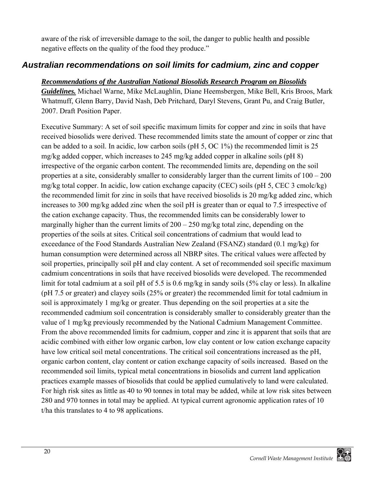aware of the risk of irreversible damage to the soil, the danger to public health and possible negative effects on the quality of the food they produce."

### *Australian recommendations on soil limits for cadmium, zinc and copper*

#### *Recommendations of the Australian National Biosolids Research Program on Biosolids*

*Guidelines.* Michael Warne, Mike McLaughlin, Diane Heemsbergen, Mike Bell, Kris Broos, Mark Whatmuff, Glenn Barry, David Nash, Deb Pritchard, Daryl Stevens, Grant Pu, and Craig Butler, 2007. Draft Position Paper.

Executive Summary: A set of soil specific maximum limits for copper and zinc in soils that have received biosolids were derived. These recommended limits state the amount of copper or zinc that can be added to a soil. In acidic, low carbon soils (pH 5, OC 1%) the recommended limit is 25 mg/kg added copper, which increases to 245 mg/kg added copper in alkaline soils (pH 8) irrespective of the organic carbon content. The recommended limits are, depending on the soil properties at a site, considerably smaller to considerably larger than the current limits of 100 – 200 mg/kg total copper. In acidic, low cation exchange capacity (CEC) soils (pH 5, CEC 3 cmolc/kg) the recommended limit for zinc in soils that have received biosolids is 20 mg/kg added zinc, which increases to 300 mg/kg added zinc when the soil pH is greater than or equal to 7.5 irrespective of the cation exchange capacity. Thus, the recommended limits can be considerably lower to marginally higher than the current limits of  $200 - 250$  mg/kg total zinc, depending on the properties of the soils at sites. Critical soil concentrations of cadmium that would lead to exceedance of the Food Standards Australian New Zealand (FSANZ) standard (0.1 mg/kg) for human consumption were determined across all NBRP sites. The critical values were affected by soil properties, principally soil pH and clay content. A set of recommended soil specific maximum cadmium concentrations in soils that have received biosolids were developed. The recommended limit for total cadmium at a soil pH of 5.5 is 0.6 mg/kg in sandy soils (5% clay or less). In alkaline (pH 7.5 or greater) and clayey soils (25% or greater) the recommended limit for total cadmium in soil is approximately 1 mg/kg or greater. Thus depending on the soil properties at a site the recommended cadmium soil concentration is considerably smaller to considerably greater than the value of 1 mg/kg previously recommended by the National Cadmium Management Committee. From the above recommended limits for cadmium, copper and zinc it is apparent that soils that are acidic combined with either low organic carbon, low clay content or low cation exchange capacity have low critical soil metal concentrations. The critical soil concentrations increased as the pH, organic carbon content, clay content or cation exchange capacity of soils increased. Based on the recommended soil limits, typical metal concentrations in biosolids and current land application practices example masses of biosolids that could be applied cumulatively to land were calculated. For high risk sites as little as 40 to 90 tonnes in total may be added, while at low risk sites between 280 and 970 tonnes in total may be applied. At typical current agronomic application rates of 10 t/ha this translates to 4 to 98 applications.

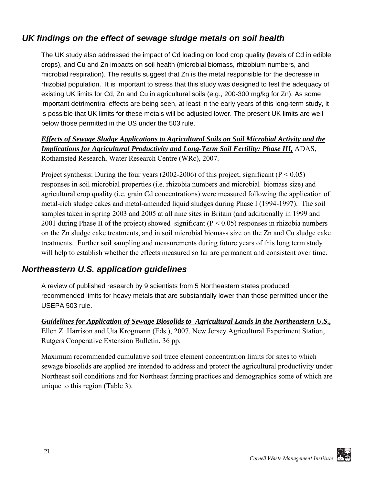### *UK findings on the effect of sewage sludge metals on soil health*

The UK study also addressed the impact of Cd loading on food crop quality (levels of Cd in edible crops), and Cu and Zn impacts on soil health (microbial biomass, rhizobium numbers, and microbial respiration). The results suggest that Zn is the metal responsible for the decrease in rhizobial population. It is important to stress that this study was designed to test the adequacy of existing UK limits for Cd, Zn and Cu in agricultural soils (e.g., 200-300 mg/kg for Zn). As some important detrimentral effects are being seen, at least in the early years of this long-term study, it is possible that UK limits for these metals will be adjusted lower. The present UK limits are well below those permitted in the US under the 503 rule.

*Effects of Sewage Sludge Applications to Agricultural Soils on Soil Microbial Activity and the Implications for Agricultural Productivity and Long-Term Soil Fertility: Phase III,* ADAS, Rothamsted Research, Water Research Centre (WRc), 2007.

Project synthesis: During the four years (2002-2006) of this project, significant ( $P < 0.05$ ) responses in soil microbial properties (i.e. rhizobia numbers and microbial biomass size) and agricultural crop quality (i.e. grain Cd concentrations) were measured following the application of metal-rich sludge cakes and metal-amended liquid sludges during Phase I (1994-1997). The soil samples taken in spring 2003 and 2005 at all nine sites in Britain (and additionally in 1999 and 2001 during Phase II of the project) showed significant ( $P < 0.05$ ) responses in rhizobia numbers on the Zn sludge cake treatments, and in soil microbial biomass size on the Zn and Cu sludge cake treatments. Further soil sampling and measurements during future years of this long term study will help to establish whether the effects measured so far are permanent and consistent over time.

### *Northeastern U.S. application guidelines*

A review of published research by 9 scientists from 5 Northeastern states produced recommended limits for heavy metals that are substantially lower than those permitted under the USEPA 503 rule.

*Guidelines for Application of Sewage Biosolids to Agricultural Lands in the Northeastern U.S.,* Ellen Z. Harrison and Uta Krogmann (Eds.), 2007. New Jersey Agricultural Experiment Station, Rutgers Cooperative Extension Bulletin, 36 pp.

Maximum recommended cumulative soil trace element concentration limits for sites to which sewage biosolids are applied are intended to address and protect the agricultural productivity under Northeast soil conditions and for Northeast farming practices and demographics some of which are unique to this region (Table 3).

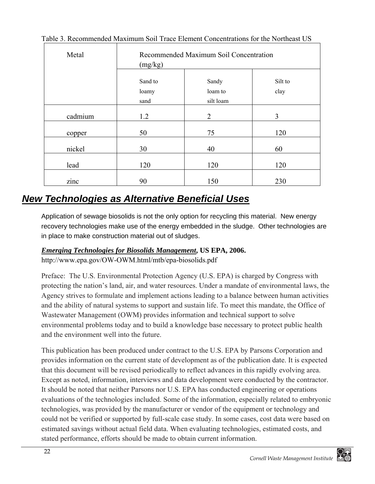| Metal   | Recommended Maximum Soil Concentration<br>(mg/kg) |                |                |
|---------|---------------------------------------------------|----------------|----------------|
|         | Sand to                                           | Sandy          | Silt to        |
|         | loamy                                             | loam to        | clay           |
|         | sand                                              | silt loam      |                |
| cadmium | 1.2                                               | $\overline{2}$ | $\overline{3}$ |
| copper  | 50                                                | 75             | 120            |
| nickel  | 30                                                | 40             | 60             |
| lead    | 120                                               | 120            | 120            |
| zinc    | 90                                                | 150            | 230            |

#### Table 3. Recommended Maximum Soil Trace Element Concentrations for the Northeast US

## *New Technologies as Alternative Beneficial Uses*

Application of sewage biosolids is not the only option for recycling this material. New energy recovery technologies make use of the energy embedded in the sludge. Other technologies are in place to make construction material out of sludges.

#### *Emerging Technologies for Biosolids Management***, US EPA, 2006.**

http://www.epa.gov/OW-OWM.html/mtb/epa-biosolids.pdf

Preface: The U.S. Environmental Protection Agency (U.S. EPA) is charged by Congress with protecting the nation's land, air, and water resources. Under a mandate of environmental laws, the Agency strives to formulate and implement actions leading to a balance between human activities and the ability of natural systems to support and sustain life. To meet this mandate, the Office of Wastewater Management (OWM) provides information and technical support to solve environmental problems today and to build a knowledge base necessary to protect public health and the environment well into the future.

This publication has been produced under contract to the U.S. EPA by Parsons Corporation and provides information on the current state of development as of the publication date. It is expected that this document will be revised periodically to reflect advances in this rapidly evolving area. Except as noted, information, interviews and data development were conducted by the contractor. It should be noted that neither Parsons nor U.S. EPA has conducted engineering or operations evaluations of the technologies included. Some of the information, especially related to embryonic technologies, was provided by the manufacturer or vendor of the equipment or technology and could not be verified or supported by full-scale case study. In some cases, cost data were based on estimated savings without actual field data. When evaluating technologies, estimated costs, and stated performance, efforts should be made to obtain current information.

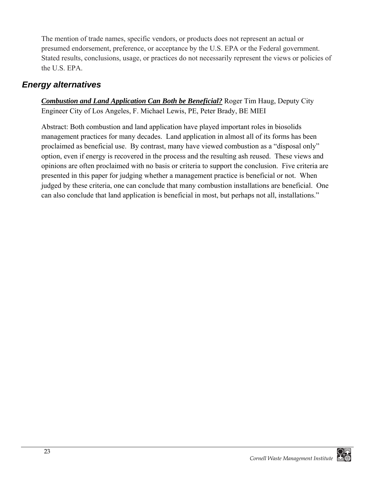The mention of trade names, specific vendors, or products does not represent an actual or presumed endorsement, preference, or acceptance by the U.S. EPA or the Federal government. Stated results, conclusions, usage, or practices do not necessarily represent the views or policies of the U.S. EPA.

### *Energy alternatives*

*Combustion and Land Application Can Both be Beneficial?* Roger Tim Haug, Deputy City Engineer City of Los Angeles, F. Michael Lewis, PE, Peter Brady, BE MIEI

Abstract: Both combustion and land application have played important roles in biosolids management practices for many decades. Land application in almost all of its forms has been proclaimed as beneficial use. By contrast, many have viewed combustion as a "disposal only" option, even if energy is recovered in the process and the resulting ash reused. These views and opinions are often proclaimed with no basis or criteria to support the conclusion. Five criteria are presented in this paper for judging whether a management practice is beneficial or not. When judged by these criteria, one can conclude that many combustion installations are beneficial. One can also conclude that land application is beneficial in most, but perhaps not all, installations."

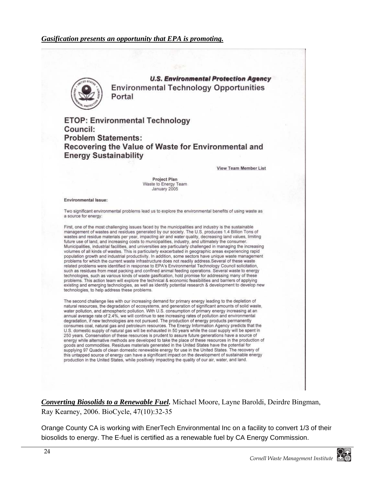#### *Gasification presents an opportunity that EPA is promoting.*



**U.S. Environmental Protection Agency Environmental Technology Opportunities** Portal

**ETOP: Environmental Technology** Council: **Problem Statements:** Recovering the Value of Waste for Environmental and **Energy Sustainability** 

**View Team Member List** 

**Project Plan** Waste to Energy Team January 2005

#### **Environmental Issue:**

Two significant environmental problems lead us to explore the environmental benefits of using waste as a source for energy:

First, one of the most challenging issues faced by the municipalities and industry is the sustainable management of wastes and residues generated by our society. The U.S. produces 1.4 Billion Tons of wastes and residue materials per year, impacting air and water quality, decreasing land values, limiting future use of land, and increasing costs to municipalities, industry, and ultimately the consumer. Municipalities, industrial facilities, and universities are particularly challenged in managing the increasing volumes of all kinds of wastes. This is particularly exacerbated in geographic areas experiencing rapid population growth and industrial productivity. In addition, some sectors have unique waste management problems for which the current waste infrastructure does not readily address. Several of these waste related problems were identified in response to EPA's Environmental Technology Council solicitation, such as residues from meat packing and confined animal feeding operations. Several waste to energy technologies, such as various kinds of waste gasification, hold promise for addressing many of these problems. This action team will explore the technical & economic feasibilities and barriers of applying existing and emerging technologies, as well as identify potential research & development to develop new technologies, to help address these problems.

The second challenge lies with our increasing demand for primary energy leading to the depletion of natural resources, the degradation of ecosystems, and generation of significant amounts of solid waste, water pollution, and atmospheric pollution. With U.S. consumption of primary energy increasing at an annual average rate of 2.4%, we will continue to see increasing rates of pollution and environmental degradation, if new technologies are not pursued. The production of energy products permanently consumes coal, natural gas and petroleum resources. The Energy Information Agency predicts that the U.S. domestic supply of natural gas will be exhausted in 50 years while the coal supply will be spent in 250 years. Conservation of these resources is prudent to assure future generations have a source of energy while alternative methods are developed to take the place of these resources in the production of goods and commodities. Residues materials generated in the United States have the potential for supplying 97 Quads of clean domestic renewable energy for use in the United States. The recovery of this untapped source of energy can have a significant impact on the development of sustainable energy production in the United States, while positively impacting the quality of our air, water, and land.

*Converting Biosolids to a Renewable Fuel.* Michael Moore, Layne Baroldi, Deirdre Bingman, Ray Kearney, 2006. BioCycle, 47(10):32-35

Orange County CA is working with EnerTech Environmental Inc on a facility to convert 1/3 of their biosolids to energy. The E-fuel is certified as a renewable fuel by CA Energy Commission.